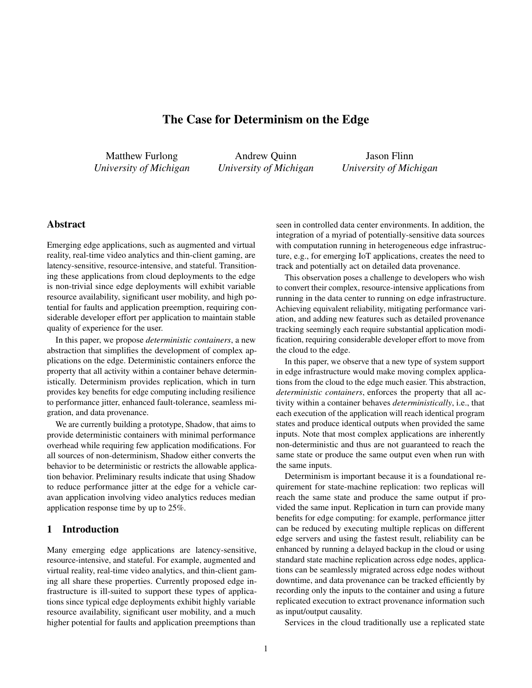# The Case for Determinism on the Edge

Matthew Furlong *University of Michigan*

Andrew Quinn *University of Michigan*

Jason Flinn *University of Michigan*

# Abstract

Emerging edge applications, such as augmented and virtual reality, real-time video analytics and thin-client gaming, are latency-sensitive, resource-intensive, and stateful. Transitioning these applications from cloud deployments to the edge is non-trivial since edge deployments will exhibit variable resource availability, significant user mobility, and high potential for faults and application preemption, requiring considerable developer effort per application to maintain stable quality of experience for the user.

In this paper, we propose *deterministic containers*, a new abstraction that simplifies the development of complex applications on the edge. Deterministic containers enforce the property that all activity within a container behave deterministically. Determinism provides replication, which in turn provides key benefits for edge computing including resilience to performance jitter, enhanced fault-tolerance, seamless migration, and data provenance.

We are currently building a prototype, Shadow, that aims to provide deterministic containers with minimal performance overhead while requiring few application modifications. For all sources of non-determinism, Shadow either converts the behavior to be deterministic or restricts the allowable application behavior. Preliminary results indicate that using Shadow to reduce performance jitter at the edge for a vehicle caravan application involving video analytics reduces median application response time by up to 25%.

#### 1 Introduction

Many emerging edge applications are latency-sensitive, resource-intensive, and stateful. For example, augmented and virtual reality, real-time video analytics, and thin-client gaming all share these properties. Currently proposed edge infrastructure is ill-suited to support these types of applications since typical edge deployments exhibit highly variable resource availability, significant user mobility, and a much higher potential for faults and application preemptions than

seen in controlled data center environments. In addition, the integration of a myriad of potentially-sensitive data sources with computation running in heterogeneous edge infrastructure, e.g., for emerging IoT applications, creates the need to track and potentially act on detailed data provenance.

This observation poses a challenge to developers who wish to convert their complex, resource-intensive applications from running in the data center to running on edge infrastructure. Achieving equivalent reliability, mitigating performance variation, and adding new features such as detailed provenance tracking seemingly each require substantial application modification, requiring considerable developer effort to move from the cloud to the edge.

In this paper, we observe that a new type of system support in edge infrastructure would make moving complex applications from the cloud to the edge much easier. This abstraction, *deterministic containers*, enforces the property that all activity within a container behaves *deterministically*, i.e., that each execution of the application will reach identical program states and produce identical outputs when provided the same inputs. Note that most complex applications are inherently non-deterministic and thus are not guaranteed to reach the same state or produce the same output even when run with the same inputs.

Determinism is important because it is a foundational requirement for state-machine replication: two replicas will reach the same state and produce the same output if provided the same input. Replication in turn can provide many benefits for edge computing: for example, performance jitter can be reduced by executing multiple replicas on different edge servers and using the fastest result, reliability can be enhanced by running a delayed backup in the cloud or using standard state machine replication across edge nodes, applications can be seamlessly migrated across edge nodes without downtime, and data provenance can be tracked efficiently by recording only the inputs to the container and using a future replicated execution to extract provenance information such as input/output causality.

Services in the cloud traditionally use a replicated state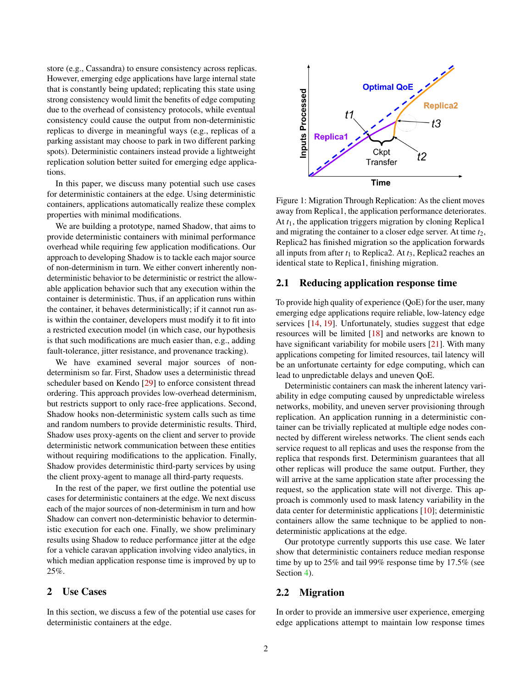store (e.g., Cassandra) to ensure consistency across replicas. However, emerging edge applications have large internal state that is constantly being updated; replicating this state using strong consistency would limit the benefits of edge computing due to the overhead of consistency protocols, while eventual consistency could cause the output from non-deterministic replicas to diverge in meaningful ways (e.g., replicas of a parking assistant may choose to park in two different parking spots). Deterministic containers instead provide a lightweight replication solution better suited for emerging edge applications.

In this paper, we discuss many potential such use cases for deterministic containers at the edge. Using deterministic containers, applications automatically realize these complex properties with minimal modifications.

We are building a prototype, named Shadow, that aims to provide deterministic containers with minimal performance overhead while requiring few application modifications. Our approach to developing Shadow is to tackle each major source of non-determinism in turn. We either convert inherently nondeterministic behavior to be deterministic or restrict the allowable application behavior such that any execution within the container is deterministic. Thus, if an application runs within the container, it behaves deterministically; if it cannot run asis within the container, developers must modify it to fit into a restricted execution model (in which case, our hypothesis is that such modifications are much easier than, e.g., adding fault-tolerance, jitter resistance, and provenance tracking).

We have examined several major sources of nondeterminism so far. First, Shadow uses a deterministic thread scheduler based on Kendo [\[29\]](#page-5-0) to enforce consistent thread ordering. This approach provides low-overhead determinism, but restricts support to only race-free applications. Second, Shadow hooks non-deterministic system calls such as time and random numbers to provide deterministic results. Third, Shadow uses proxy-agents on the client and server to provide deterministic network communication between these entities without requiring modifications to the application. Finally, Shadow provides deterministic third-party services by using the client proxy-agent to manage all third-party requests.

In the rest of the paper, we first outline the potential use cases for deterministic containers at the edge. We next discuss each of the major sources of non-determinism in turn and how Shadow can convert non-deterministic behavior to deterministic execution for each one. Finally, we show preliminary results using Shadow to reduce performance jitter at the edge for a vehicle caravan application involving video analytics, in which median application response time is improved by up to 25%.

## 2 Use Cases

In this section, we discuss a few of the potential use cases for deterministic containers at the edge.

<span id="page-1-0"></span>

Figure 1: Migration Through Replication: As the client moves away from Replica1, the application performance deteriorates. At *t*1, the application triggers migration by cloning Replica1 and migrating the container to a closer edge server. At time  $t<sub>2</sub>$ , Replica2 has finished migration so the application forwards all inputs from after  $t_1$  to Replica2. At  $t_3$ , Replica2 reaches an identical state to Replica1, finishing migration.

#### 2.1 Reducing application response time

To provide high quality of experience (QoE) for the user, many emerging edge applications require reliable, low-latency edge services [\[14,](#page-5-1) [19\]](#page-5-2). Unfortunately, studies suggest that edge resources will be limited [\[18\]](#page-5-3) and networks are known to have significant variability for mobile users [\[21\]](#page-5-4). With many applications competing for limited resources, tail latency will be an unfortunate certainty for edge computing, which can lead to unpredictable delays and uneven QoE.

Deterministic containers can mask the inherent latency variability in edge computing caused by unpredictable wireless networks, mobility, and uneven server provisioning through replication. An application running in a deterministic container can be trivially replicated at multiple edge nodes connected by different wireless networks. The client sends each service request to all replicas and uses the response from the replica that responds first. Determinism guarantees that all other replicas will produce the same output. Further, they will arrive at the same application state after processing the request, so the application state will not diverge. This approach is commonly used to mask latency variability in the data center for deterministic applications [\[10\]](#page-5-5); deterministic containers allow the same technique to be applied to nondeterministic applications at the edge.

Our prototype currently supports this use case. We later show that deterministic containers reduce median response time by up to 25% and tail 99% response time by 17.5% (see Section [4\)](#page-3-0).

## <span id="page-1-1"></span>2.2 Migration

In order to provide an immersive user experience, emerging edge applications attempt to maintain low response times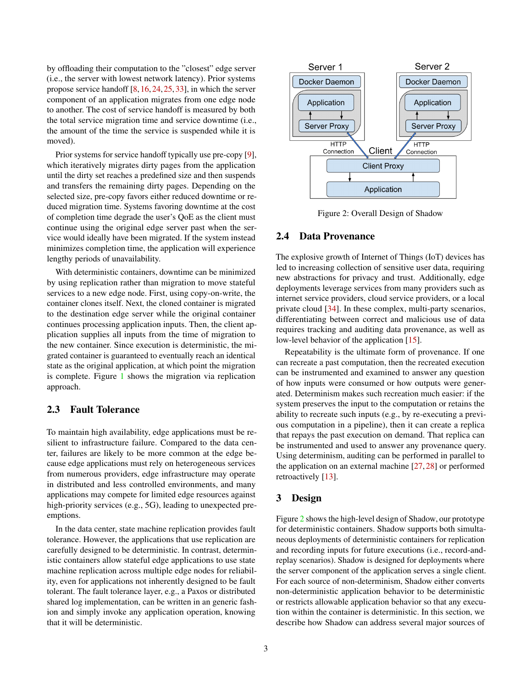by offloading their computation to the "closest" edge server (i.e., the server with lowest network latency). Prior systems propose service handoff [\[8,](#page-5-6)[16,](#page-5-7)[24,](#page-5-8)[25,](#page-5-9)[33\]](#page-5-10), in which the server component of an application migrates from one edge node to another. The cost of service handoff is measured by both the total service migration time and service downtime (i.e., the amount of the time the service is suspended while it is moved).

Prior systems for service handoff typically use pre-copy [\[9\]](#page-5-11), which iteratively migrates dirty pages from the application until the dirty set reaches a predefined size and then suspends and transfers the remaining dirty pages. Depending on the selected size, pre-copy favors either reduced downtime or reduced migration time. Systems favoring downtime at the cost of completion time degrade the user's QoE as the client must continue using the original edge server past when the service would ideally have been migrated. If the system instead minimizes completion time, the application will experience lengthy periods of unavailability.

With deterministic containers, downtime can be minimized by using replication rather than migration to move stateful services to a new edge node. First, using copy-on-write, the container clones itself. Next, the cloned container is migrated to the destination edge server while the original container continues processing application inputs. Then, the client application supplies all inputs from the time of migration to the new container. Since execution is deterministic, the migrated container is guaranteed to eventually reach an identical state as the original application, at which point the migration is complete. Figure [1](#page-1-0) shows the migration via replication approach.

#### 2.3 Fault Tolerance

To maintain high availability, edge applications must be resilient to infrastructure failure. Compared to the data center, failures are likely to be more common at the edge because edge applications must rely on heterogeneous services from numerous providers, edge infrastructure may operate in distributed and less controlled environments, and many applications may compete for limited edge resources against high-priority services (e.g., 5G), leading to unexpected preemptions.

In the data center, state machine replication provides fault tolerance. However, the applications that use replication are carefully designed to be deterministic. In contrast, deterministic containers allow stateful edge applications to use state machine replication across multiple edge nodes for reliability, even for applications not inherently designed to be fault tolerant. The fault tolerance layer, e.g., a Paxos or distributed shared log implementation, can be written in an generic fashion and simply invoke any application operation, knowing that it will be deterministic.

<span id="page-2-0"></span>

Figure 2: Overall Design of Shadow

#### 2.4 Data Provenance

The explosive growth of Internet of Things (IoT) devices has led to increasing collection of sensitive user data, requiring new abstractions for privacy and trust. Additionally, edge deployments leverage services from many providers such as internet service providers, cloud service providers, or a local private cloud [\[34\]](#page-6-0). In these complex, multi-party scenarios, differentiating between correct and malicious use of data requires tracking and auditing data provenance, as well as low-level behavior of the application [\[15\]](#page-5-12).

Repeatability is the ultimate form of provenance. If one can recreate a past computation, then the recreated execution can be instrumented and examined to answer any question of how inputs were consumed or how outputs were generated. Determinism makes such recreation much easier: if the system preserves the input to the computation or retains the ability to recreate such inputs (e.g., by re-executing a previous computation in a pipeline), then it can create a replica that repays the past execution on demand. That replica can be instrumented and used to answer any provenance query. Using determinism, auditing can be performed in parallel to the application on an external machine [\[27,](#page-5-13) [28\]](#page-5-14) or performed retroactively [\[13\]](#page-5-15).

### 3 Design

Figure [2](#page-2-0) shows the high-level design of Shadow, our prototype for deterministic containers. Shadow supports both simultaneous deployments of deterministic containers for replication and recording inputs for future executions (i.e., record-andreplay scenarios). Shadow is designed for deployments where the server component of the application serves a single client. For each source of non-determinism, Shadow either converts non-deterministic application behavior to be deterministic or restricts allowable application behavior so that any execution within the container is deterministic. In this section, we describe how Shadow can address several major sources of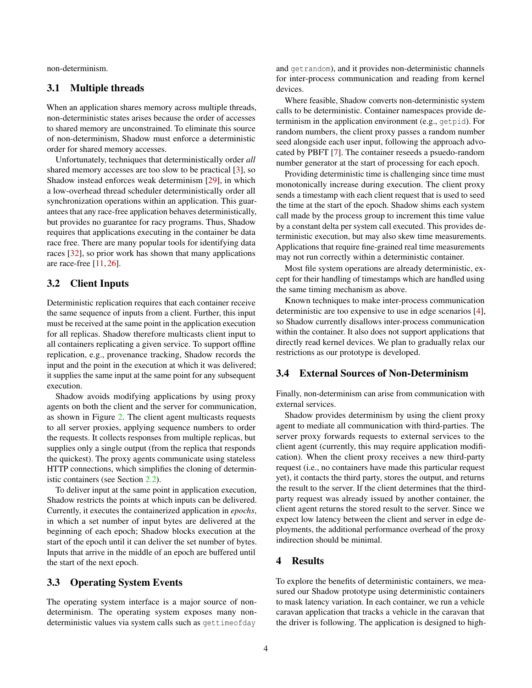non-determinism.

### 3.1 Multiple threads

When an application shares memory across multiple threads, non-deterministic states arises because the order of accesses to shared memory are unconstrained. To eliminate this source of non-determinism, Shadow must enforce a deterministic order for shared memory accesses.

Unfortunately, techniques that deterministically order *all* shared memory accesses are too slow to be practical [\[3\]](#page-5-16), so Shadow instead enforces weak determinism [\[29\]](#page-5-0), in which a low-overhead thread scheduler deterministically order all synchronization operations within an application. This guarantees that any race-free application behaves deterministically, but provides no guarantee for racy programs. Thus, Shadow requires that applications executing in the container be data race free. There are many popular tools for identifying data races [\[32\]](#page-5-17), so prior work has shown that many applications are race-free [\[11,](#page-5-18) [26\]](#page-5-19).

#### 3.2 Client Inputs

Deterministic replication requires that each container receive the same sequence of inputs from a client. Further, this input must be received at the same point in the application execution for all replicas. Shadow therefore multicasts client input to all containers replicating a given service. To support offline replication, e.g., provenance tracking, Shadow records the input and the point in the execution at which it was delivered; it supplies the same input at the same point for any subsequent execution.

Shadow avoids modifying applications by using proxy agents on both the client and the server for communication, as shown in Figure [2.](#page-2-0) The client agent multicasts requests to all server proxies, applying sequence numbers to order the requests. It collects responses from multiple replicas, but supplies only a single output (from the replica that responds the quickest). The proxy agents communicate using stateless HTTP connections, which simplifies the cloning of deterministic containers (see Section [2.2\)](#page-1-1).

To deliver input at the same point in application execution, Shadow restricts the points at which inputs can be delivered. Currently, it executes the containerized application in *epochs*, in which a set number of input bytes are delivered at the beginning of each epoch; Shadow blocks execution at the start of the epoch until it can deliver the set number of bytes. Inputs that arrive in the middle of an epoch are buffered until the start of the next epoch.

### 3.3 Operating System Events

The operating system interface is a major source of nondeterminism. The operating system exposes many nondeterministic values via system calls such as gettimeofday

and getrandom), and it provides non-deterministic channels for inter-process communication and reading from kernel devices.

Where feasible, Shadow converts non-deterministic system calls to be deterministic. Container namespaces provide determinism in the application environment (e.g., getpid). For random numbers, the client proxy passes a random number seed alongside each user input, following the approach advocated by PBFT [\[7\]](#page-5-20). The container reseeds a psuedo-random number generator at the start of processing for each epoch.

Providing deterministic time is challenging since time must monotonically increase during execution. The client proxy sends a timestamp with each client request that is used to seed the time at the start of the epoch. Shadow shims each system call made by the process group to increment this time value by a constant delta per system call executed. This provides deterministic execution, but may also skew time measurements. Applications that require fine-grained real time measurements may not run correctly within a deterministic container.

Most file system operations are already deterministic, except for their handling of timestamps which are handled using the same timing mechanism as above.

Known techniques to make inter-process communication deterministic are too expensive to use in edge scenarios [\[4\]](#page-5-21), so Shadow currently disallows inter-process communication within the container. It also does not support applications that directly read kernel devices. We plan to gradually relax our restrictions as our prototype is developed.

### 3.4 External Sources of Non-Determinism

Finally, non-determinism can arise from communication with external services.

Shadow provides determinism by using the client proxy agent to mediate all communication with third-parties. The server proxy forwards requests to external services to the client agent (currently, this may require application modification). When the client proxy receives a new third-party request (i.e., no containers have made this particular request yet), it contacts the third party, stores the output, and returns the result to the server. If the client determines that the thirdparty request was already issued by another container, the client agent returns the stored result to the server. Since we expect low latency between the client and server in edge deployments, the additional performance overhead of the proxy indirection should be minimal.

#### <span id="page-3-0"></span>4 Results

To explore the benefits of deterministic containers, we measured our Shadow prototype using deterministic containers to mask latency variation. In each container, we run a vehicle caravan application that tracks a vehicle in the caravan that the driver is following. The application is designed to high-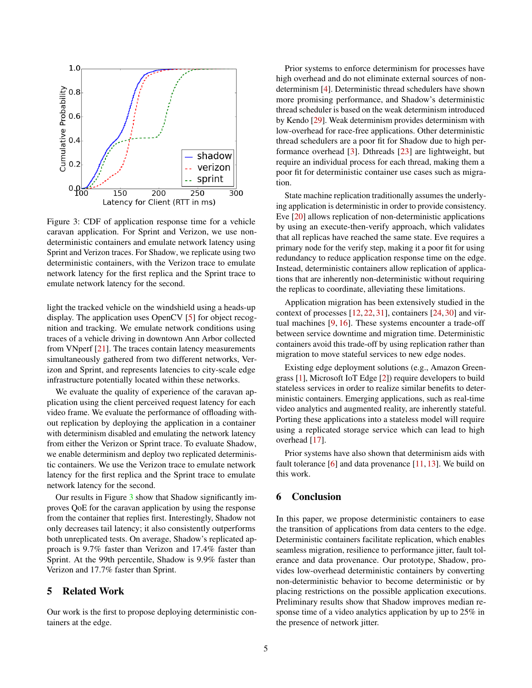<span id="page-4-0"></span>

Figure 3: CDF of application response time for a vehicle caravan application. For Sprint and Verizon, we use nondeterministic containers and emulate network latency using Sprint and Verizon traces. For Shadow, we replicate using two deterministic containers, with the Verizon trace to emulate network latency for the first replica and the Sprint trace to emulate network latency for the second.

light the tracked vehicle on the windshield using a heads-up display. The application uses OpenCV [\[5\]](#page-5-22) for object recognition and tracking. We emulate network conditions using traces of a vehicle driving in downtown Ann Arbor collected from VNperf [\[21\]](#page-5-4). The traces contain latency measurements simultaneously gathered from two different networks, Verizon and Sprint, and represents latencies to city-scale edge infrastructure potentially located within these networks.

We evaluate the quality of experience of the caravan application using the client perceived request latency for each video frame. We evaluate the performance of offloading without replication by deploying the application in a container with determinism disabled and emulating the network latency from either the Verizon or Sprint trace. To evaluate Shadow, we enable determinism and deploy two replicated deterministic containers. We use the Verizon trace to emulate network latency for the first replica and the Sprint trace to emulate network latency for the second.

Our results in Figure [3](#page-4-0) show that Shadow significantly improves QoE for the caravan application by using the response from the container that replies first. Interestingly, Shadow not only decreases tail latency; it also consistently outperforms both unreplicated tests. On average, Shadow's replicated approach is 9.7% faster than Verizon and 17.4% faster than Sprint. At the 99th percentile, Shadow is 9.9% faster than Verizon and 17.7% faster than Sprint.

#### 5 Related Work

Our work is the first to propose deploying deterministic containers at the edge.

Prior systems to enforce determinism for processes have high overhead and do not eliminate external sources of nondeterminism [\[4\]](#page-5-21). Deterministic thread schedulers have shown more promising performance, and Shadow's deterministic thread scheduler is based on the weak determinism introduced by Kendo [\[29\]](#page-5-0). Weak determinism provides determinism with low-overhead for race-free applications. Other deterministic thread schedulers are a poor fit for Shadow due to high performance overhead [\[3\]](#page-5-16). Dthreads [\[23\]](#page-5-23) are lightweight, but require an individual process for each thread, making them a poor fit for deterministic container use cases such as migration.

State machine replication traditionally assumes the underlying application is deterministic in order to provide consistency. Eve [\[20\]](#page-5-24) allows replication of non-deterministic applications by using an execute-then-verify approach, which validates that all replicas have reached the same state. Eve requires a primary node for the verify step, making it a poor fit for using redundancy to reduce application response time on the edge. Instead, deterministic containers allow replication of applications that are inherently non-deterministic without requiring the replicas to coordinate, alleviating these limitations.

Application migration has been extensively studied in the context of processes [\[12,](#page-5-25) [22,](#page-5-26) [31\]](#page-5-27), containers [\[24,](#page-5-8) [30\]](#page-5-28) and virtual machines [\[9,](#page-5-11) [16\]](#page-5-7). These systems encounter a trade-off between service downtime and migration time. Deterministic containers avoid this trade-off by using replication rather than migration to move stateful services to new edge nodes.

Existing edge deployment solutions (e.g., Amazon Greengrass [\[1\]](#page-5-29), Microsoft IoT Edge [\[2\]](#page-5-30)) require developers to build stateless services in order to realize similar benefits to deterministic containers. Emerging applications, such as real-time video analytics and augmented reality, are inherently stateful. Porting these applications into a stateless model will require using a replicated storage service which can lead to high overhead [\[17\]](#page-5-31).

Prior systems have also shown that determinism aids with fault tolerance  $[6]$  and data provenance  $[11, 13]$  $[11, 13]$  $[11, 13]$ . We build on this work.

## 6 Conclusion

In this paper, we propose deterministic containers to ease the transition of applications from data centers to the edge. Deterministic containers facilitate replication, which enables seamless migration, resilience to performance jitter, fault tolerance and data provenance. Our prototype, Shadow, provides low-overhead deterministic containers by converting non-deterministic behavior to become deterministic or by placing restrictions on the possible application executions. Preliminary results show that Shadow improves median response time of a video analytics application by up to 25% in the presence of network jitter.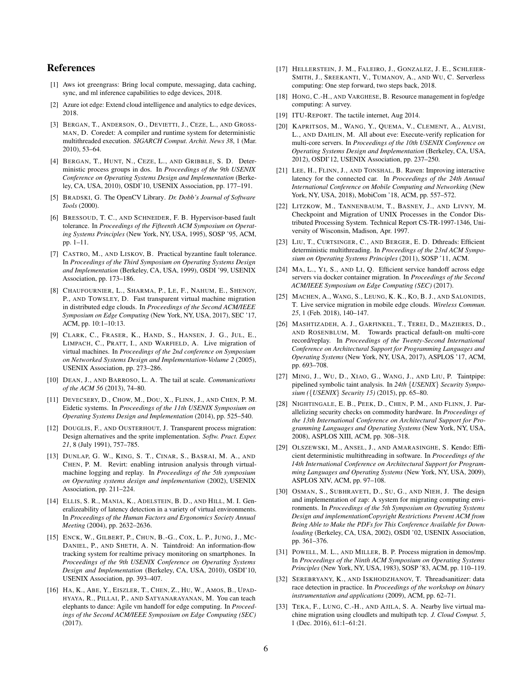### References

- <span id="page-5-29"></span>[1] Aws iot greengrass: Bring local compute, messaging, data caching, sync, and ml inference capabilities to edge devices, 2018.
- <span id="page-5-30"></span>[2] Azure iot edge: Extend cloud intelligence and analytics to edge devices, 2018.
- <span id="page-5-16"></span>[3] BERGAN, T., ANDERSON, O., DEVIETTI, J., CEZE, L., AND GROSS-MAN, D. Coredet: A compiler and runtime system for deterministic multithreaded execution. *SIGARCH Comput. Archit. News 38*, 1 (Mar. 2010), 53–64.
- <span id="page-5-21"></span>[4] BERGAN, T., HUNT, N., CEZE, L., AND GRIBBLE, S. D. Deterministic process groups in dos. In *Proceedings of the 9th USENIX Conference on Operating Systems Design and Implementation* (Berkeley, CA, USA, 2010), OSDI'10, USENIX Association, pp. 177–191.
- <span id="page-5-22"></span>[5] BRADSKI, G. The OpenCV Library. *Dr. Dobb's Journal of Software Tools* (2000).
- <span id="page-5-32"></span>[6] BRESSOUD, T. C., AND SCHNEIDER, F. B. Hypervisor-based fault tolerance. In *Proceedings of the Fifteenth ACM Symposium on Operating Systems Principles* (New York, NY, USA, 1995), SOSP '95, ACM, pp. 1–11.
- <span id="page-5-20"></span>[7] CASTRO, M., AND LISKOV, B. Practical byzantine fault tolerance. In *Proceedings of the Third Symposium on Operating Systems Design and Implementation* (Berkeley, CA, USA, 1999), OSDI '99, USENIX Association, pp. 173–186.
- <span id="page-5-6"></span>[8] CHAUFOURNIER, L., SHARMA, P., LE, F., NAHUM, E., SHENOY, P., AND TOWSLEY, D. Fast transparent virtual machine migration in distributed edge clouds. In *Proceedings of the Second ACM/IEEE Symposium on Edge Computing* (New York, NY, USA, 2017), SEC '17, ACM, pp. 10:1–10:13.
- <span id="page-5-11"></span>[9] CLARK, C., FRASER, K., HAND, S., HANSEN, J. G., JUL, E., LIMPACH, C., PRATT, I., AND WARFIELD, A. Live migration of virtual machines. In *Proceedings of the 2nd conference on Symposium on Networked Systems Design and Implementation-Volume 2* (2005), USENIX Association, pp. 273–286.
- <span id="page-5-5"></span>[10] DEAN, J., AND BARROSO, L. A. The tail at scale. *Communications of the ACM 56* (2013), 74–80.
- <span id="page-5-18"></span>[11] DEVECSERY, D., CHOW, M., DOU, X., FLINN, J., AND CHEN, P. M. Eidetic systems. In *Proceedings of the 11th USENIX Symposium on Operating Systems Design and Implementation* (2014), pp. 525–540.
- <span id="page-5-25"></span>[12] DOUGLIS, F., AND OUSTERHOUT, J. Transparent process migration: Design alternatives and the sprite implementation. *Softw. Pract. Exper. 21*, 8 (July 1991), 757–785.
- <span id="page-5-15"></span>[13] DUNLAP, G. W., KING, S. T., CINAR, S., BASRAI, M. A., AND CHEN, P. M. Revirt: enabling intrusion analysis through virtualmachine logging and replay. In *Proceedings of the 5th symposium on Operating systems design and implementation* (2002), USENIX Association, pp. 211–224.
- <span id="page-5-1"></span>[14] ELLIS, S. R., MANIA, K., ADELSTEIN, B. D., AND HILL, M. I. Generalizeability of latency detection in a variety of virtual environments. In *Proceedings of the Human Factors and Ergonomics Society Annual Meeting* (2004), pp. 2632–2636.
- <span id="page-5-12"></span>[15] ENCK, W., GILBERT, P., CHUN, B.-G., COX, L. P., JUNG, J., MC-DANIEL, P., AND SHETH, A. N. Taintdroid: An information-flow tracking system for realtime privacy monitoring on smartphones. In *Proceedings of the 9th USENIX Conference on Operating Systems Design and Implementation* (Berkeley, CA, USA, 2010), OSDI'10, USENIX Association, pp. 393–407.
- <span id="page-5-7"></span>[16] HA, K., ABE, Y., EISZLER, T., CHEN, Z., HU, W., AMOS, B., UPAD-HYAYA, R., PILLAI, P., AND SATYANARAYANAN, M. You can teach elephants to dance: Agile vm handoff for edge computing. In *Proceedings of the Second ACM/IEEE Symposium on Edge Computing (SEC)* (2017).
- <span id="page-5-31"></span>[17] HELLERSTEIN, J. M., FALEIRO, J., GONZALEZ, J. E., SCHLEIER-SMITH, J., SREEKANTI, V., TUMANOV, A., AND WU, C. Serverless computing: One step forward, two steps back, 2018.
- <span id="page-5-3"></span>[18] HONG, C.-H., AND VARGHESE, B. Resource management in fog/edge computing: A survey.
- <span id="page-5-2"></span>[19] ITU-REPORT. The tactile internet, Aug 2014.
- <span id="page-5-24"></span>[20] KAPRITSOS, M., WANG, Y., QUEMA, V., CLEMENT, A., ALVISI, L., AND DAHLIN, M. All about eve: Execute-verify replication for multi-core servers. In *Proceedings of the 10th USENIX Conference on Operating Systems Design and Implementation* (Berkeley, CA, USA, 2012), OSDI'12, USENIX Association, pp. 237–250.
- <span id="page-5-4"></span>[21] LEE, H., FLINN, J., AND TONSHAL, B. Raven: Improving interactive latency for the connected car. In *Proceedings of the 24th Annual International Conference on Mobile Computing and Networking* (New York, NY, USA, 2018), MobiCom '18, ACM, pp. 557–572.
- <span id="page-5-26"></span>[22] LITZKOW, M., TANNENBAUM, T., BASNEY, J., AND LIVNY, M. Checkpoint and Migration of UNIX Processes in the Condor Distributed Processing System. Technical Report CS-TR-1997-1346, University of Wisconsin, Madison, Apr. 1997.
- <span id="page-5-23"></span>[23] LIU, T., CURTSINGER, C., AND BERGER, E. D. Dthreads: Efficient deterministic multithreading. In *Proceedings of the 23rd ACM Symposium on Operating Systems Principles* (2011), SOSP '11, ACM.
- <span id="page-5-8"></span>[24] MA, L., YI, S., AND LI, Q. Efficient service handoff across edge servers via docker container migration. In *Proceedings of the Second ACM/IEEE Symposium on Edge Computing (SEC)* (2017).
- <span id="page-5-9"></span>[25] MACHEN, A., WANG, S., LEUNG, K. K., KO, B. J., AND SALONIDIS, T. Live service migration in mobile edge clouds. *Wireless Commun. 25*, 1 (Feb. 2018), 140–147.
- <span id="page-5-19"></span>[26] MASHTIZADEH, A. J., GARFINKEL, T., TEREI, D., MAZIERES, D., AND ROSENBLUM, M. Towards practical default-on multi-core record/replay. In *Proceedings of the Twenty-Second International Conference on Architectural Support for Programming Languages and Operating Systems* (New York, NY, USA, 2017), ASPLOS '17, ACM, pp. 693–708.
- <span id="page-5-13"></span>[27] MING, J., WU, D., XIAO, G., WANG, J., AND LIU, P. Taintpipe: pipelined symbolic taint analysis. In *24th* {*USENIX*} *Security Symposium (*{*USENIX*} *Security 15)* (2015), pp. 65–80.
- <span id="page-5-14"></span>[28] NIGHTINGALE, E. B., PEEK, D., CHEN, P. M., AND FLINN, J. Parallelizing security checks on commodity hardware. In *Proceedings of the 13th International Conference on Architectural Support for Programming Languages and Operating Systems* (New York, NY, USA, 2008), ASPLOS XIII, ACM, pp. 308–318.
- <span id="page-5-0"></span>[29] OLSZEWSKI, M., ANSEL, J., AND AMARASINGHE, S. Kendo: Efficient deterministic multithreading in software. In *Proceedings of the 14th International Conference on Architectural Support for Programming Languages and Operating Systems* (New York, NY, USA, 2009), ASPLOS XIV, ACM, pp. 97–108.
- <span id="page-5-28"></span>[30] OSMAN, S., SUBHRAVETI, D., SU, G., AND NIEH, J. The design and implementation of zap: A system for migrating computing environments. In *Proceedings of the 5th Symposium on Operating Systems Design and implementationCopyright Restrictions Prevent ACM from Being Able to Make the PDFs for This Conference Available for Downloading* (Berkeley, CA, USA, 2002), OSDI '02, USENIX Association, pp. 361–376.
- <span id="page-5-27"></span>[31] POWELL, M. L., AND MILLER, B. P. Process migration in demos/mp. In *Proceedings of the Ninth ACM Symposium on Operating Systems Principles* (New York, NY, USA, 1983), SOSP '83, ACM, pp. 110–119.
- <span id="page-5-17"></span>[32] SEREBRYANY, K., AND ISKHODZHANOV, T. Threadsanitizer: data race detection in practice. In *Proceedings of the workshop on binary instrumentation and applications* (2009), ACM, pp. 62–71.
- <span id="page-5-10"></span>[33] TEKA, F., LUNG, C.-H., AND AJILA, S. A. Nearby live virtual machine migration using cloudlets and multipath tcp. *J. Cloud Comput. 5*, 1 (Dec. 2016), 61:1–61:21.